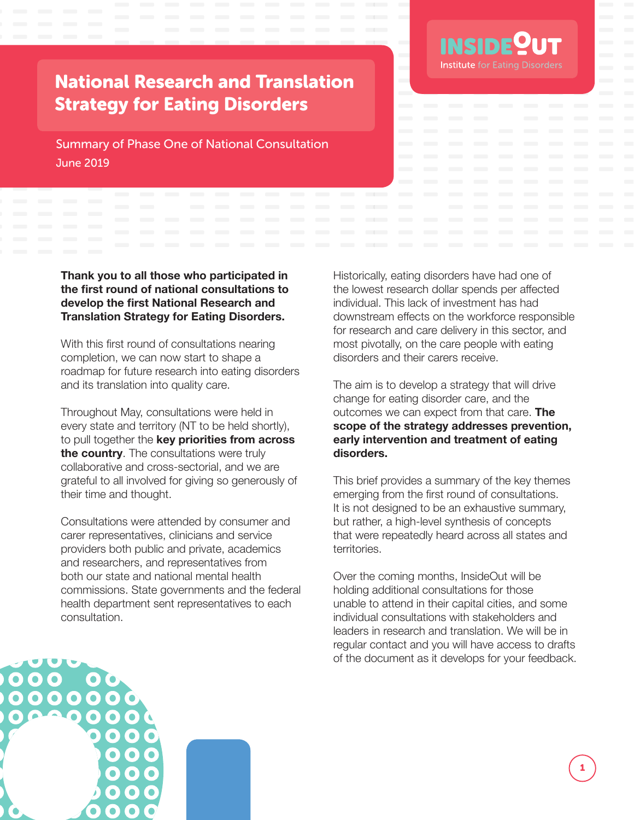

# National Research and Translation Strategy for Eating Disorders

Summary of Phase One of National Consultation June 2019

**Thank you to all those who participated in the first round of national consultations to develop the first National Research and Translation Strategy for Eating Disorders.**

With this first round of consultations nearing completion, we can now start to shape a roadmap for future research into eating disorders and its translation into quality care.

Throughout May, consultations were held in every state and territory (NT to be held shortly), to pull together the **key priorities from across the country**. The consultations were truly collaborative and cross-sectorial, and we are grateful to all involved for giving so generously of their time and thought.

Consultations were attended by consumer and carer representatives, clinicians and service providers both public and private, academics and researchers, and representatives from both our state and national mental health commissions. State governments and the federal health department sent representatives to each consultation.

Historically, eating disorders have had one of the lowest research dollar spends per affected individual. This lack of investment has had downstream effects on the workforce responsible for research and care delivery in this sector, and most pivotally, on the care people with eating disorders and their carers receive.

The aim is to develop a strategy that will drive change for eating disorder care, and the outcomes we can expect from that care. **The scope of the strategy addresses prevention, early intervention and treatment of eating disorders.**

This brief provides a summary of the key themes emerging from the first round of consultations. It is not designed to be an exhaustive summary, but rather, a high-level synthesis of concepts that were repeatedly heard across all states and territories.

Over the coming months, InsideOut will be holding additional consultations for those unable to attend in their capital cities, and some individual consultations with stakeholders and leaders in research and translation. We will be in regular contact and you will have access to drafts of the document as it develops for your feedback.

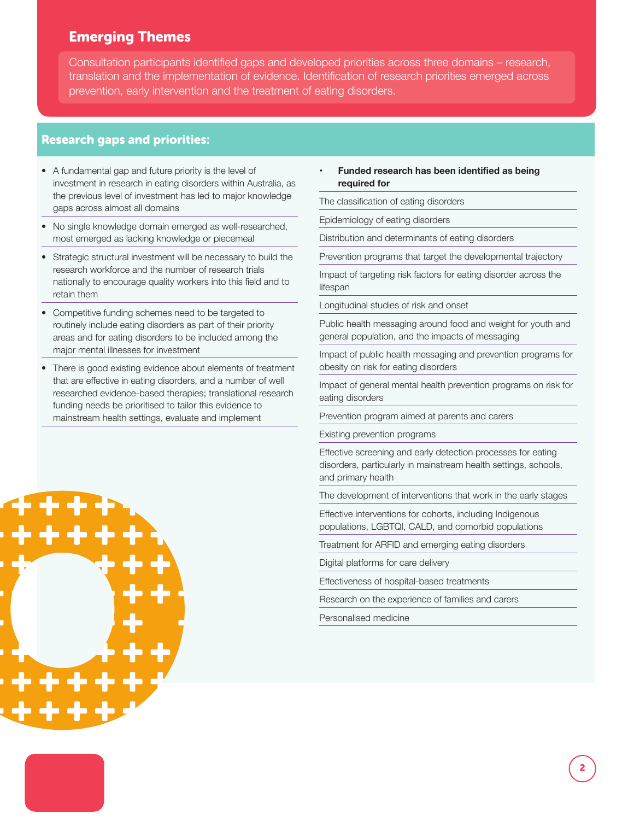## Emerging Themes

Consultation participants identified gaps and developed priorities across three domains – research, translation and the implementation of evidence. Identification of research priorities emerged across prevention, early intervention and the treatment of eating disorders.

### Research gaps and priorities:

- A fundamental gap and future priority is the level of investment in research in eating disorders within Australia, as the previous level of investment has led to major knowledge gaps across almost all domains
- No single knowledge domain emerged as well-researched, most emerged as lacking knowledge or piecemeal
- Strategic structural investment will be necessary to build the research workforce and the number of research trials nationally to encourage quality workers into this field and to retain them
- Competitive funding schemes need to be targeted to routinely include eating disorders as part of their priority areas and for eating disorders to be included among the major mental illnesses for investment
- There is good existing evidence about elements of treatment that are effective in eating disorders, and a number of well researched evidence-based therapies; translational research funding needs be prioritised to tailor this evidence to mainstream health settings, evaluate and implement

#### **• Funded research has been identified as being required for**

The classification of eating disorders

Epidemiology of eating disorders

Distribution and determinants of eating disorders

Prevention programs that target the developmental trajectory

Impact of targeting risk factors for eating disorder across the lifespan

Longitudinal studies of risk and onset

Public health messaging around food and weight for youth and general population, and the impacts of messaging

Impact of public health messaging and prevention programs for obesity on risk for eating disorders

Impact of general mental health prevention programs on risk for eating disorders

Prevention program aimed at parents and carers

Existing prevention programs

Effective screening and early detection processes for eating disorders, particularly in mainstream health settings, schools, and primary health

The development of interventions that work in the early stages

2

Effective interventions for cohorts, including Indigenous populations, LGBTQI, CALD, and comorbid populations

Treatment for ARFID and emerging eating disorders

Digital platforms for care delivery

Effectiveness of hospital-based treatments

Research on the experience of families and carers

Personalised medicine

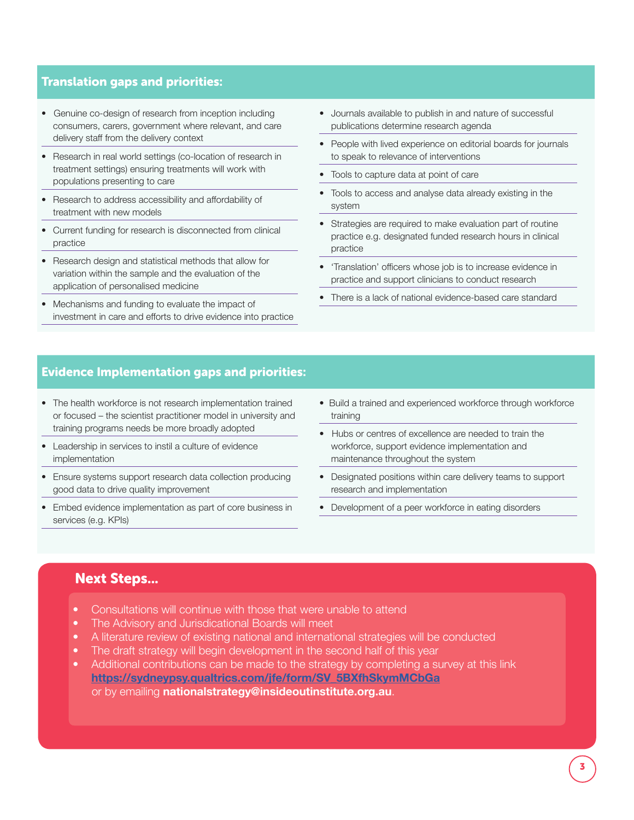#### Translation gaps and priorities:

- Genuine co-design of research from inception including consumers, carers, government where relevant, and care delivery staff from the delivery context
- Research in real world settings (co-location of research in treatment settings) ensuring treatments will work with populations presenting to care
- Research to address accessibility and affordability of treatment with new models
- Current funding for research is disconnected from clinical practice
- Research design and statistical methods that allow for variation within the sample and the evaluation of the application of personalised medicine
- Mechanisms and funding to evaluate the impact of investment in care and efforts to drive evidence into practice
- Journals available to publish in and nature of successful publications determine research agenda
- People with lived experience on editorial boards for journals to speak to relevance of interventions
- Tools to capture data at point of care
- Tools to access and analyse data already existing in the system
- Strategies are required to make evaluation part of routine practice e.g. designated funded research hours in clinical practice
- 'Translation' officers whose job is to increase evidence in practice and support clinicians to conduct research
- There is a lack of national evidence-based care standard

#### Evidence Implementation gaps and priorities:

- The health workforce is not research implementation trained or focused – the scientist practitioner model in university and training programs needs be more broadly adopted
- Leadership in services to instil a culture of evidence implementation
- Ensure systems support research data collection producing good data to drive quality improvement
- Embed evidence implementation as part of core business in services (e.g. KPIs)
- Build a trained and experienced workforce through workforce training
- Hubs or centres of excellence are needed to train the workforce, support evidence implementation and maintenance throughout the system
- Designated positions within care delivery teams to support research and implementation
- Development of a peer workforce in eating disorders

#### Next Steps...

- Consultations will continue with those that were unable to attend
- The Advisory and Jurisdicational Boards will meet
- A literature review of existing national and international strategies will be conducted
- The draft strategy will begin development in the second half of this year
- Additional contributions can be made to the strategy by completing a survey at this link **https://sydneypsy.qualtrics.com/jfe/form/SV\_5BXfhSkymMCbGa** or by emailing **nationalstrategy@insideoutinstitute.org.au**.